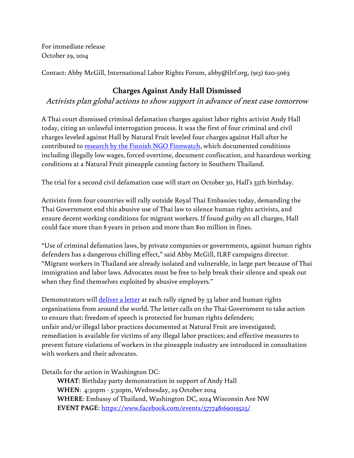For immediate release October 29, 2014

Contact: Abby McGill, International Labor Rights Forum, abby@ilrf.org, (913) 620-5063

## **Charges Against Andy Hall Dismissed**

Activists plan global actions to show support in advance of next case tomorrow

A Thai court dismissed criminal defamation charges against labor rights activist Andy Hall today, citing an unlawful interrogation process. It was the first of four criminal and civil charges leveled against Hall by Natural Fruit leveled four charges against Hall after he contributed to [research by the Finnish NGO Finnwatch,](http://www.prachatai.com/english/sites/default/files/Finnwatch%20final%20report%20summary%20(English).pdf) which documented conditions including illegally low wages, forced overtime, document confiscation, and hazardous working conditions at a Natural Fruit pineapple canning factory in Southern Thailand.

The trial for a second civil defamation case will start on October 30, Hall's 35th birthday.

Activists from four countries will rally outside Royal Thai Embassies today, demanding the Thai Government end this abusive use of Thai law to silence human rights activists, and ensure decent working conditions for migrant workers. If found guilty on all charges, Hall could face more than 8 years in prison and more than \$10 million in fines.

"Use of criminal defamation laws, by private companies or governments, against human rights defenders has a dangerous chilling effect," said Abby McGill, ILRF campaigns director. "Migrant workers in Thailand are already isolated and vulnerable, in large part because of Thai immigration and labor laws. Advocates must be free to help break their silence and speak out when they find themselves exploited by abusive employers."

Demonstrators will *deliver a letter* at each rally signed by 33 labor and human rights organizations from around the world. The letter calls on the Thai Government to take action to ensure that: freedom of speech is protected for human rights defenders; unfair and/or illegal labor practices documented at Natural Fruit are investigated; remediation is available for victims of any illegal labor practices; and effective measures to prevent future violations of workers in the pineapple industry are introduced in consultation with workers and their advocates.

Details for the action in Washington DC:

**WHAT**: Birthday party demonstration in support of Andy Hall **WHEN**: 4:30pm - 5:30pm, Wednesday, 29 October 2014 **WHERE**: Embassy of Thailand, Washington DC, 1024 Wisconsin Ave NW **EVENT PAGE**: <https://www.facebook.com/events/577748169019525/>